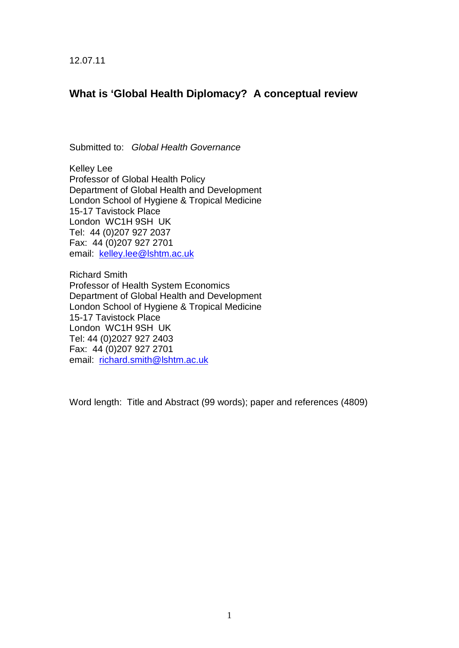12.07.11

# **What is 'Global Health Diplomacy? A conceptual review**

Submitted to: *Global Health Governance*

Kelley Lee Professor of Global Health Policy Department of Global Health and Development London School of Hygiene & Tropical Medicine 15-17 Tavistock Place London WC1H 9SH UK Tel: 44 (0)207 927 2037 Fax: 44 (0)207 927 2701 email: [kelley.lee@lshtm.ac.uk](mailto:kelley.lee@lshtm.ac.uk)

Richard Smith Professor of Health System Economics Department of Global Health and Development London School of Hygiene & Tropical Medicine 15-17 Tavistock Place London WC1H 9SH UK Tel: 44 (0)2027 927 2403 Fax: 44 (0)207 927 2701 email: [richard.smith@lshtm.ac.uk](mailto:richard.smith@lshtm.ac.uk)

Word length: Title and Abstract (99 words); paper and references (4809)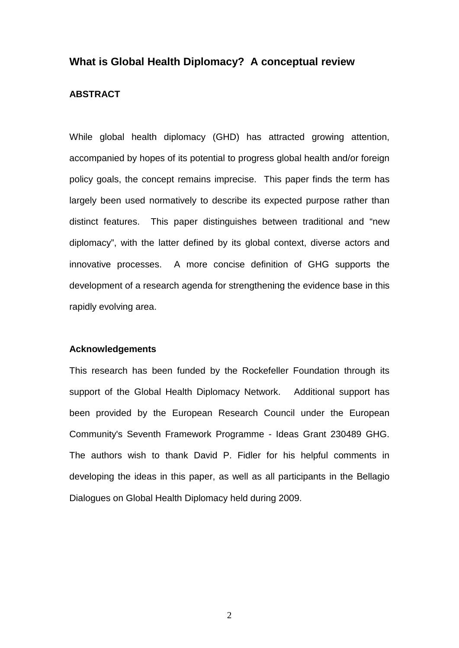# **What is Global Health Diplomacy? A conceptual review**

## **ABSTRACT**

While global health diplomacy (GHD) has attracted growing attention, accompanied by hopes of its potential to progress global health and/or foreign policy goals, the concept remains imprecise. This paper finds the term has largely been used normatively to describe its expected purpose rather than distinct features. This paper distinguishes between traditional and "new diplomacy", with the latter defined by its global context, diverse actors and innovative processes. A more concise definition of GHG supports the development of a research agenda for strengthening the evidence base in this rapidly evolving area.

#### **Acknowledgements**

This research has been funded by the Rockefeller Foundation through its support of the Global Health Diplomacy Network. Additional support has been provided by the European Research Council under the European Community's Seventh Framework Programme - Ideas Grant 230489 GHG. The authors wish to thank David P. Fidler for his helpful comments in developing the ideas in this paper, as well as all participants in the Bellagio Dialogues on Global Health Diplomacy held during 2009.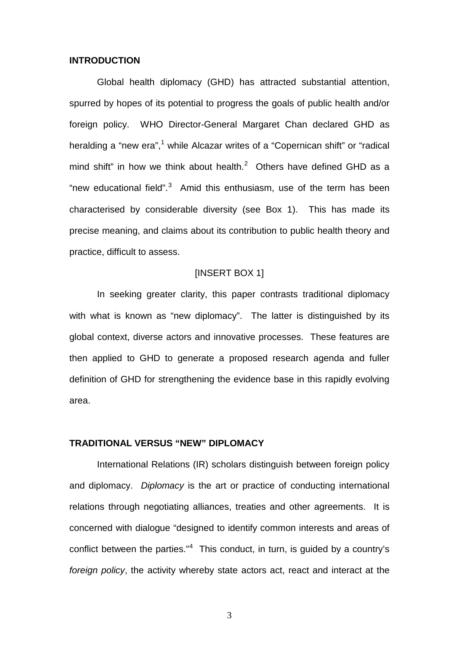#### **INTRODUCTION**

Global health diplomacy (GHD) has attracted substantial attention, spurred by hopes of its potential to progress the goals of public health and/or foreign policy. WHO Director-General Margaret Chan declared GHD as heralding a "new era",<sup>[1](#page-21-0)</sup> while Alcazar writes of a "Copernican shift" or "radical mind shift" in how we think about health. $^2$  $^2$  Others have defined GHD as a "new educational field".<sup>[3](#page-21-2)</sup> Amid this enthusiasm, use of the term has been characterised by considerable diversity (see Box 1). This has made its precise meaning, and claims about its contribution to public health theory and practice, difficult to assess.

## <span id="page-2-1"></span>[INSERT BOX 1]

In seeking greater clarity, this paper contrasts traditional diplomacy with what is known as "new diplomacy". The latter is distinguished by its global context, diverse actors and innovative processes. These features are then applied to GHD to generate a proposed research agenda and fuller definition of GHD for strengthening the evidence base in this rapidly evolving area.

# **TRADITIONAL VERSUS "NEW" DIPLOMACY**

<span id="page-2-0"></span>International Relations (IR) scholars distinguish between foreign policy and diplomacy. *Diplomacy* is the art or practice of conducting international relations through negotiating alliances, treaties and other agreements. It is concerned with dialogue "designed to identify common interests and areas of conflict between the parties." $4$  This conduct, in turn, is guided by a country's *foreign policy*, the activity whereby state actors act, react and interact at the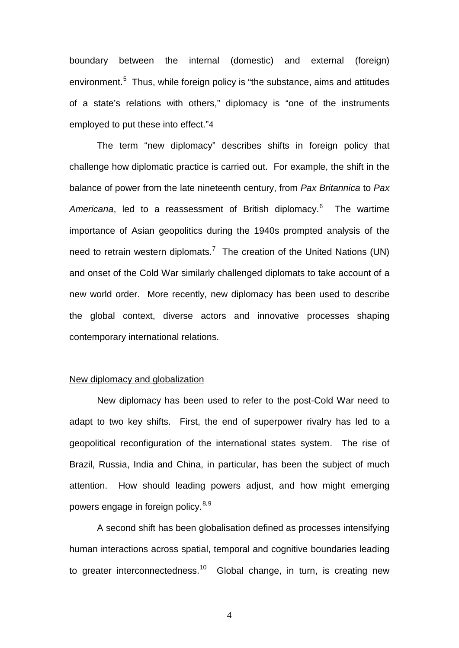boundary between the internal (domestic) and external (foreign) environment.<sup>[5](#page-22-0)</sup> Thus, while foreign policy is "the substance, aims and attitudes of a state's relations with others," diplomacy is "one of the instruments employed to put these into effect."[4](#page-2-0)

The term "new diplomacy" describes shifts in foreign policy that challenge how diplomatic practice is carried out. For example, the shift in the balance of power from the late nineteenth century, from *Pax Britannica* to *Pax*  Americana, led to a reassessment of British diplomacy.<sup>[6](#page-22-1)</sup> The wartime importance of Asian geopolitics during the 1940s prompted analysis of the need to retrain western diplomats.<sup>[7](#page-22-2)</sup> The creation of the United Nations (UN) and onset of the Cold War similarly challenged diplomats to take account of a new world order. More recently, new diplomacy has been used to describe the global context, diverse actors and innovative processes shaping contemporary international relations.

# New diplomacy and globalization

New diplomacy has been used to refer to the post-Cold War need to adapt to two key shifts. First, the end of superpower rivalry has led to a geopolitical reconfiguration of the international states system. The rise of Brazil, Russia, India and China, in particular, has been the subject of much attention. How should leading powers adjust, and how might emerging powers engage in foreign policy.<sup>[8](#page-22-3),[9](#page-22-4)</sup>

A second shift has been globalisation defined as processes intensifying human interactions across spatial, temporal and cognitive boundaries leading to greater interconnectedness.<sup>[10](#page-22-5)</sup> Global change, in turn, is creating new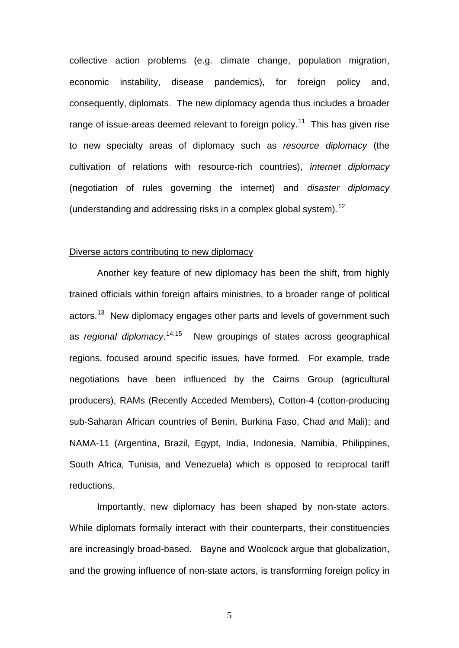collective action problems (e.g. climate change, population migration, economic instability, disease pandemics), for foreign policy and, consequently, diplomats. The new diplomacy agenda thus includes a broader range of issue-areas deemed relevant to foreign policy.<sup>11</sup> This has given rise to new specialty areas of diplomacy such as *resource diplomacy* (the cultivation of relations with resource-rich countries), *internet diplomacy* (negotiation of rules governing the internet) and *disaster diplomacy* (understanding and addressing risks in a complex global system)*.* [12](#page-23-1)

### Diverse actors contributing to new diplomacy

Another key feature of new diplomacy has been the shift, from highly trained officials within foreign affairs ministries, to a broader range of political actors.<sup>[13](#page-23-2)</sup> New diplomacy engages other parts and levels of government such as *regional diplomacy*. [14,](#page-23-3)[15](#page-23-4) New groupings of states across geographical regions, focused around specific issues, have formed. For example, trade negotiations have been influenced by the Cairns Group (agricultural producers), RAMs (Recently Acceded Members), Cotton-4 (cotton-producing sub-Saharan African countries of Benin, Burkina Faso, Chad and Mali); and NAMA-11 (Argentina, Brazil, Egypt, India, Indonesia, Namibia, Philippines, South Africa, Tunisia, and Venezuela) which is opposed to reciprocal tariff reductions.

Importantly, new diplomacy has been shaped by non-state actors. While diplomats formally interact with their counterparts, their constituencies are increasingly broad-based. Bayne and Woolcock argue that globalization, and the growing influence of non-state actors, is transforming foreign policy in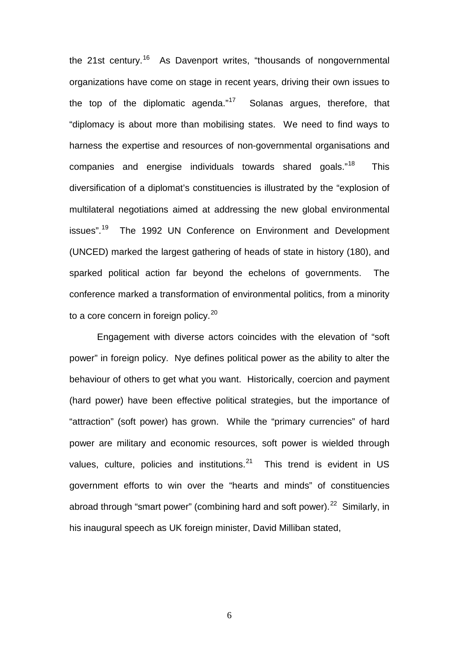the 21st century.<sup>[16](#page-23-5)</sup> As Davenport writes, "thousands of nongovernmental organizations have come on stage in recent years, driving their own issues to the top of the diplomatic agenda." $17$  Solanas argues, therefore, that "diplomacy is about more than mobilising states. We need to find ways to harness the expertise and resources of non-governmental organisations and companies and energise individuals towards shared goals."[18](#page-23-7) This diversification of a diplomat's constituencies is illustrated by the "explosion of multilateral negotiations aimed at addressing the new global environmental issues".<sup>19</sup> The 1992 UN Conference on Environment and Development (UNCED) marked the largest gathering of heads of state in history (180), and sparked political action far beyond the echelons of governments. The conference marked a transformation of environmental politics, from a minority to a core concern in foreign policy. $20$ 

Engagement with diverse actors coincides with the elevation of "soft power" in foreign policy. Nye defines political power as the ability to alter the behaviour of others to get what you want. Historically, coercion and payment (hard power) have been effective political strategies, but the importance of "attraction" (soft power) has grown. While the "primary currencies" of hard power are military and economic resources, soft power is wielded through values, culture, policies and institutions.<sup>21</sup> This trend is evident in US government efforts to win over the "hearts and minds" of constituencies abroad through "smart power" (combining hard and soft power).<sup>[22](#page-23-11)</sup> Similarly, in his inaugural speech as UK foreign minister, David Milliban stated,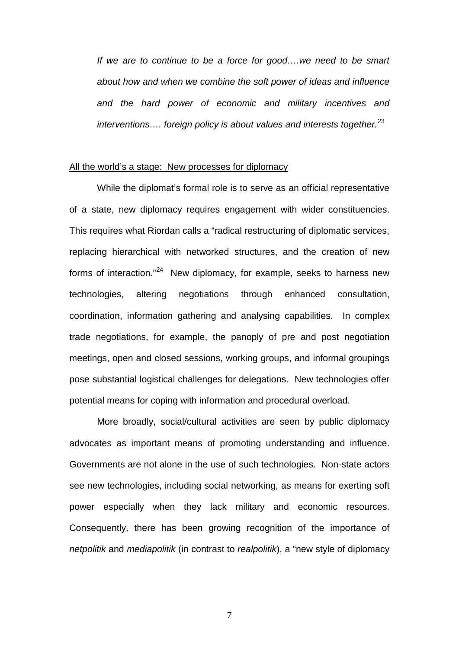*If we are to continue to be a force for good….we need to be smart about how and when we combine the soft power of ideas and influence and the hard power of economic and military incentives and interventions…. foreign policy is about values and interests together.*[23](#page-23-12)

#### All the world's a stage: New processes for diplomacy

While the diplomat's formal role is to serve as an official representative of a state, new diplomacy requires engagement with wider constituencies. This requires what Riordan calls a "radical restructuring of diplomatic services, replacing hierarchical with networked structures, and the creation of new forms of interaction."<sup>24</sup> New diplomacy, for example, seeks to harness new technologies, altering negotiations through enhanced consultation, coordination, information gathering and analysing capabilities. In complex trade negotiations, for example, the panoply of pre and post negotiation meetings, open and closed sessions, working groups, and informal groupings pose substantial logistical challenges for delegations. New technologies offer potential means for coping with information and procedural overload.

More broadly, social/cultural activities are seen by public diplomacy advocates as important means of promoting understanding and influence. Governments are not alone in the use of such technologies. Non-state actors see new technologies, including social networking, as means for exerting soft power especially when they lack military and economic resources. Consequently, there has been growing recognition of the importance of *netpolitik* and *mediapolitik* (in contrast to *realpolitik*), a "new style of diplomacy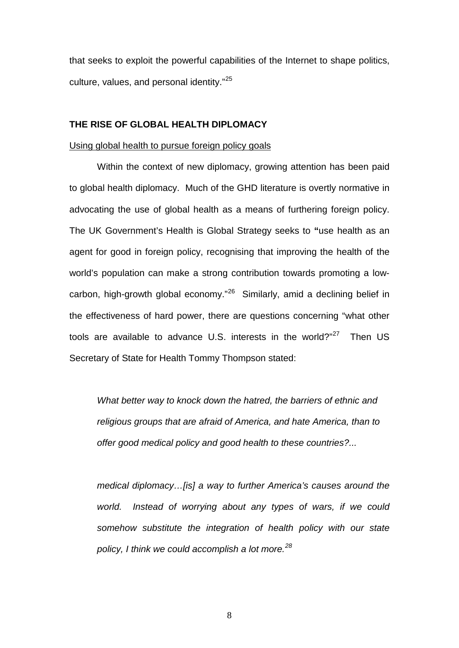that seeks to exploit the powerful capabilities of the Internet to shape politics, culture, values, and personal identity."[25](#page-23-14)

# **THE RISE OF GLOBAL HEALTH DIPLOMACY**

### Using global health to pursue foreign policy goals

Within the context of new diplomacy, growing attention has been paid to global health diplomacy. Much of the GHD literature is overtly normative in advocating the use of global health as a means of furthering foreign policy. The UK Government's Health is Global Strategy seeks to **"**use health as an agent for good in foreign policy, recognising that improving the health of the world's population can make a strong contribution towards promoting a lowcarbon, high-growth global economy."[26](#page-23-15) Similarly, amid a declining belief in the effectiveness of hard power, there are questions concerning "what other tools are available to advance U.S. interests in the world? $n^{27}$  Then US Secretary of State for Health Tommy Thompson stated:

*What better way to knock down the hatred, the barriers of ethnic and religious groups that are afraid of America, and hate America, than to offer good medical policy and good health to these countries?...*

*medical diplomacy…[is] a way to further America's causes around the world. Instead of worrying about any types of wars, if we could somehow substitute the integration of health policy with our state policy, I think we could accomplish a lot more.[28](#page-23-17)*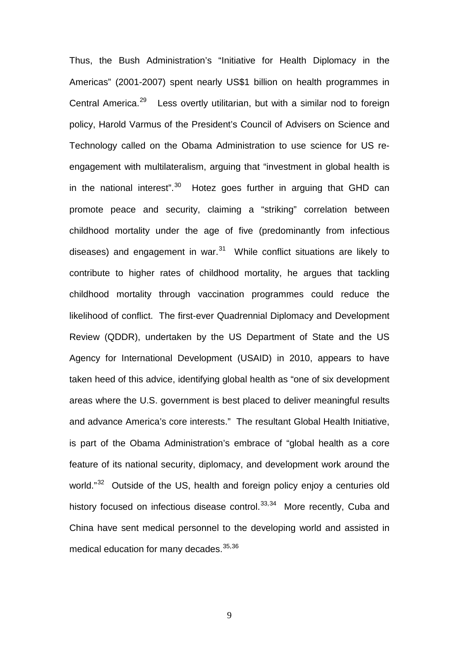Thus, the Bush Administration's "Initiative for Health Diplomacy in the Americas" (2001-2007) spent nearly US\$1 billion on health programmes in Central America.<sup>[29](#page-23-18)</sup> Less overtly utilitarian, but with a similar nod to foreign policy, Harold Varmus of the President's Council of Advisers on Science and Technology called on the Obama Administration to use science for US reengagement with multilateralism, arguing that "investment in global health is in the national interest".<sup>[30](#page-23-19)</sup> Hotez goes further in arguing that GHD can promote peace and security, claiming a "striking" correlation between childhood mortality under the age of five (predominantly from infectious diseases) and engagement in war. $31$  While conflict situations are likely to contribute to higher rates of childhood mortality, he argues that tackling childhood mortality through vaccination programmes could reduce the likelihood of conflict. The first-ever Quadrennial Diplomacy and Development Review (QDDR), undertaken by the US Department of State and the US Agency for International Development (USAID) in 2010, appears to have taken heed of this advice, identifying global health as "one of six development areas where the U.S. government is best placed to deliver meaningful results and advance America's core interests." The resultant Global Health Initiative, is part of the Obama Administration's embrace of "global health as a core feature of its national security, diplomacy, and development work around the world."<sup>[32](#page-23-21)</sup> Outside of the US, health and foreign policy enjoy a centuries old history focused on infectious disease control.<sup>[33,](#page-23-0)34</sup> More recently, Cuba and China have sent medical personnel to the developing world and assisted in medical education for many decades. [35](#page-23-23),[36](#page-23-24)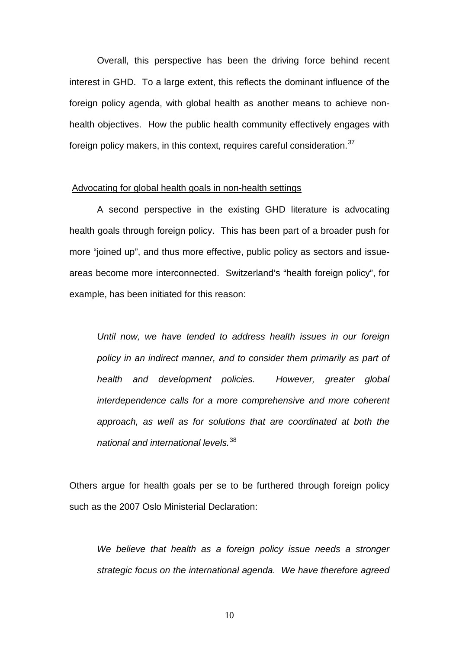Overall, this perspective has been the driving force behind recent interest in GHD. To a large extent, this reflects the dominant influence of the foreign policy agenda, with global health as another means to achieve nonhealth objectives. How the public health community effectively engages with foreign policy makers, in this context, requires careful consideration.<sup>[37](#page-23-5)</sup>

#### Advocating for global health goals in non-health settings

A second perspective in the existing GHD literature is advocating health goals through foreign policy. This has been part of a broader push for more "joined up", and thus more effective, public policy as sectors and issueareas become more interconnected. Switzerland's "health foreign policy", for example, has been initiated for this reason:

*Until now, we have tended to address health issues in our foreign policy in an indirect manner, and to consider them primarily as part of health and development policies. However, greater global interdependence calls for a more comprehensive and more coherent approach, as well as for solutions that are coordinated at both the national and international levels.*[38](#page-23-25)

Others argue for health goals per se to be furthered through foreign policy such as the 2007 Oslo Ministerial Declaration:

*We believe that health as a foreign policy issue needs a stronger strategic focus on the international agenda. We have therefore agreed*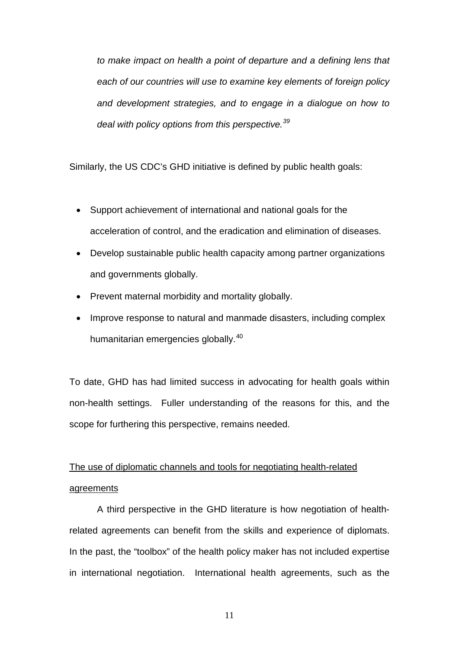*to make impact on health a point of departure and a defining lens that each of our countries will use to examine key elements of foreign policy and development strategies, and to engage in a dialogue on how to deal with policy options from this perspective.[39](#page-23-7)*

Similarly, the US CDC's GHD initiative is defined by public health goals:

- Support achievement of international and national goals for the acceleration of control, and the eradication and elimination of diseases.
- Develop sustainable public health capacity among partner organizations and governments globally.
- Prevent maternal morbidity and mortality globally.
- Improve response to natural and manmade disasters, including complex humanitarian emergencies globally.<sup>[40](#page-23-26)</sup>

To date, GHD has had limited success in advocating for health goals within non-health settings. Fuller understanding of the reasons for this, and the scope for furthering this perspective, remains needed.

# The use of diplomatic channels and tools for negotiating health-related agreements

A third perspective in the GHD literature is how negotiation of healthrelated agreements can benefit from the skills and experience of diplomats. In the past, the "toolbox" of the health policy maker has not included expertise in international negotiation. International health agreements, such as the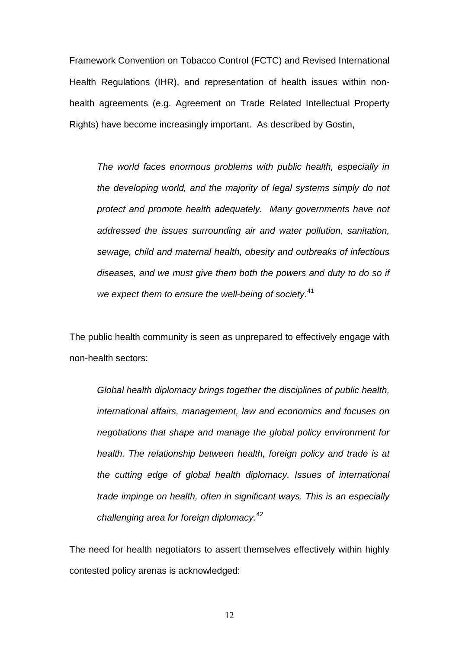Framework Convention on Tobacco Control (FCTC) and Revised International Health Regulations (IHR), and representation of health issues within nonhealth agreements (e.g. Agreement on Trade Related Intellectual Property Rights) have become increasingly important. As described by Gostin,

*The world faces enormous problems with public health, especially in the developing world, and the majority of legal systems simply do not protect and promote health adequately. Many governments have not addressed the issues surrounding air and water pollution, sanitation, sewage, child and maternal health, obesity and outbreaks of infectious diseases, and we must give them both the powers and duty to do so if we expect them to ensure the well-being of society*. [41](#page-23-9)

The public health community is seen as unprepared to effectively engage with non-health sectors:

*Global health diplomacy brings together the disciplines of public health, international affairs, management, law and economics and focuses on negotiations that shape and manage the global policy environment for health. The relationship between health, foreign policy and trade is at the cutting edge of global health diplomacy. Issues of international trade impinge on health, often in significant ways. This is an especially challenging area for foreign diplomacy.*[42](#page-23-27)

The need for health negotiators to assert themselves effectively within highly contested policy arenas is acknowledged: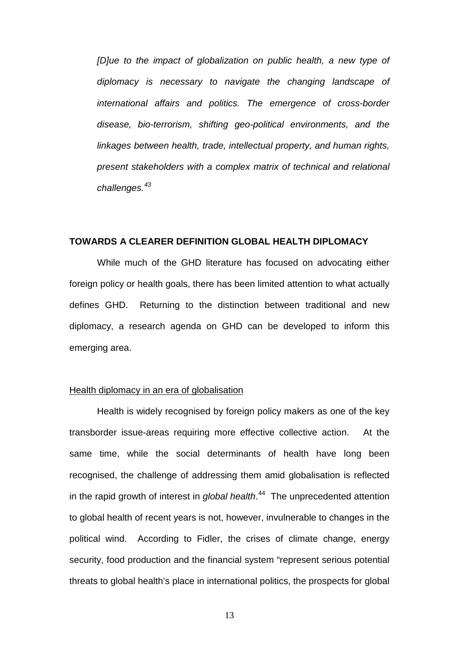*[D]ue to the impact of globalization on public health, a new type of diplomacy is necessary to navigate the changing landscape of international affairs and politics. The emergence of cross-border disease, bio-terrorism, shifting geo-political environments, and the linkages between health, trade, intellectual property, and human rights, present stakeholders with a complex matrix of technical and relational challenges.[43](#page-23-28)*

# **TOWARDS A CLEARER DEFINITION GLOBAL HEALTH DIPLOMACY**

While much of the GHD literature has focused on advocating either foreign policy or health goals, there has been limited attention to what actually defines GHD. Returning to the distinction between traditional and new diplomacy, a research agenda on GHD can be developed to inform this emerging area.

#### Health diplomacy in an era of globalisation

Health is widely recognised by foreign policy makers as one of the key transborder issue-areas requiring more effective collective action. At the same time, while the social determinants of health have long been recognised, the challenge of addressing them amid globalisation is reflected in the rapid growth of interest in *global health*. [44](#page-23-12) The unprecedented attention to global health of recent years is not, however, invulnerable to changes in the political wind. According to Fidler, the crises of climate change, energy security, food production and the financial system "represent serious potential threats to global health's place in international politics, the prospects for global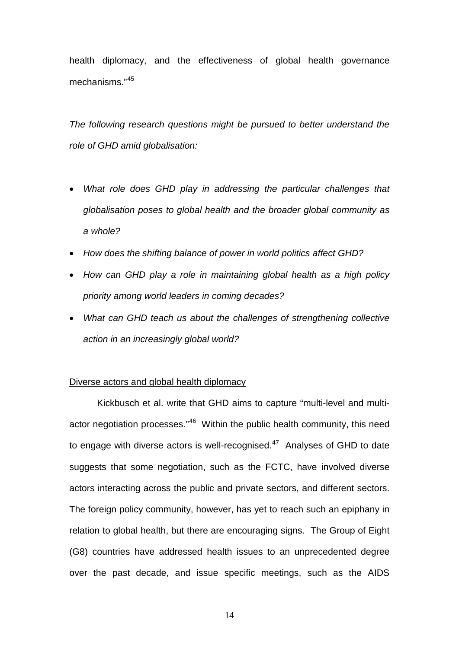health diplomacy, and the effectiveness of global health governance mechanisms."[45](#page-23-13)

*The following research questions might be pursued to better understand the role of GHD amid globalisation:*

- *What role does GHD play in addressing the particular challenges that globalisation poses to global health and the broader global community as a whole?*
- *How does the shifting balance of power in world politics affect GHD?*
- *How can GHD play a role in maintaining global health as a high policy priority among world leaders in coming decades?*
- *What can GHD teach us about the challenges of strengthening collective action in an increasingly global world?*

#### Diverse actors and global health diplomacy

<span id="page-13-1"></span><span id="page-13-0"></span>Kickbusch et al. write that GHD aims to capture "multi-level and multi-actor negotiation processes."<sup>[46](#page-23-29)</sup> Within the public health community, this need to engage with diverse actors is well-recognised. $47$  Analyses of GHD to date suggests that some negotiation, such as the FCTC, have involved diverse actors interacting across the public and private sectors, and different sectors. The foreign policy community, however, has yet to reach such an epiphany in relation to global health, but there are encouraging signs. The Group of Eight (G8) countries have addressed health issues to an unprecedented degree over the past decade, and issue specific meetings, such as the AIDS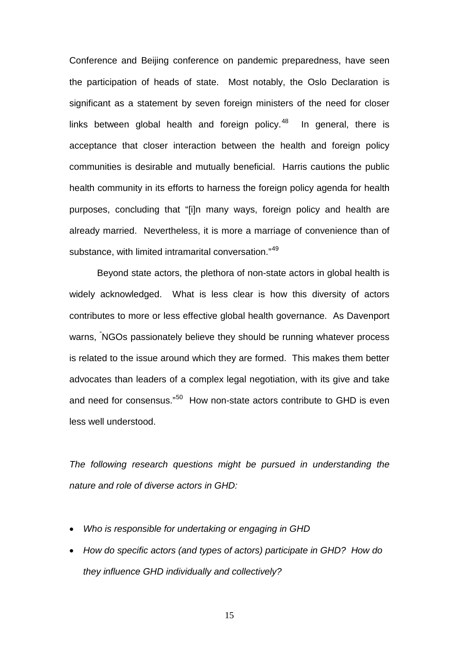Conference and Beijing conference on pandemic preparedness, have seen the participation of heads of state. Most notably, the Oslo Declaration is significant as a statement by seven foreign ministers of the need for closer links between global health and foreign policy. $48$  In general, there is acceptance that closer interaction between the health and foreign policy communities is desirable and mutually beneficial. Harris cautions the public health community in its efforts to harness the foreign policy agenda for health purposes, concluding that "[i]n many ways, foreign policy and health are already married. Nevertheless, it is more a marriage of convenience than of substance, with limited intramarital conversation."<sup>[49](#page-23-19)</sup>

Beyond state actors, the plethora of non-state actors in global health is widely acknowledged. What is less clear is how this diversity of actors contributes to more or less effective global health governance. As Davenport warns, " NGOs passionately believe they should be running whatever process is related to the issue around which they are formed. This makes them better advocates than leaders of a complex legal negotiation, with its give and take and need for consensus."<sup>[50](#page-23-20)</sup> How non-state actors contribute to GHD is even less well understood.

*The following research questions might be pursued in understanding the nature and role of diverse actors in GHD:*

- *Who is responsible for undertaking or engaging in GHD*
- *How do specific actors (and types of actors) participate in GHD? How do they influence GHD individually and collectively?*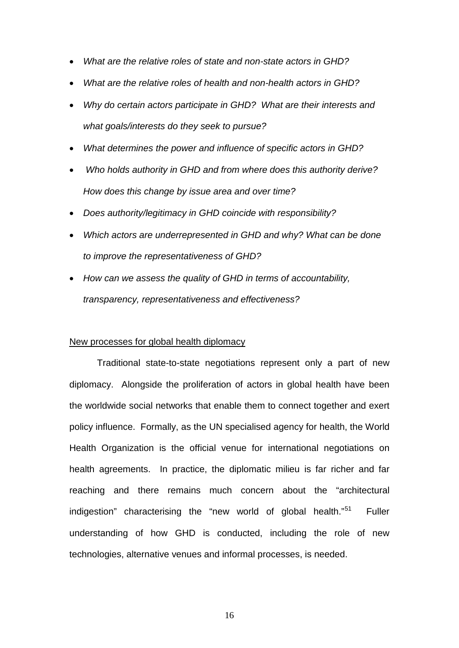- *What are the relative roles of state and non-state actors in GHD?*
- *What are the relative roles of health and non-health actors in GHD?*
- *Why do certain actors participate in GHD? What are their interests and what goals/interests do they seek to pursue?*
- *What determines the power and influence of specific actors in GHD?*
- *Who holds authority in GHD and from where does this authority derive? How does this change by issue area and over time?*
- *Does authority/legitimacy in GHD coincide with responsibility?*
- *Which actors are underrepresented in GHD and why? What can be done to improve the representativeness of GHD?*
- *How can we assess the quality of GHD in terms of accountability, transparency, representativeness and effectiveness?*

#### New processes for global health diplomacy

Traditional state-to-state negotiations represent only a part of new diplomacy. Alongside the proliferation of actors in global health have been the worldwide social networks that enable them to connect together and exert policy influence. Formally, as the UN specialised agency for health, the World Health Organization is the official venue for international negotiations on health agreements. In practice, the diplomatic milieu is far richer and far reaching and there remains much concern about the "architectural indigestion" characterising the "new world of global health."<sup>[51](#page-23-21)</sup> Fuller understanding of how GHD is conducted, including the role of new technologies, alternative venues and informal processes, is needed.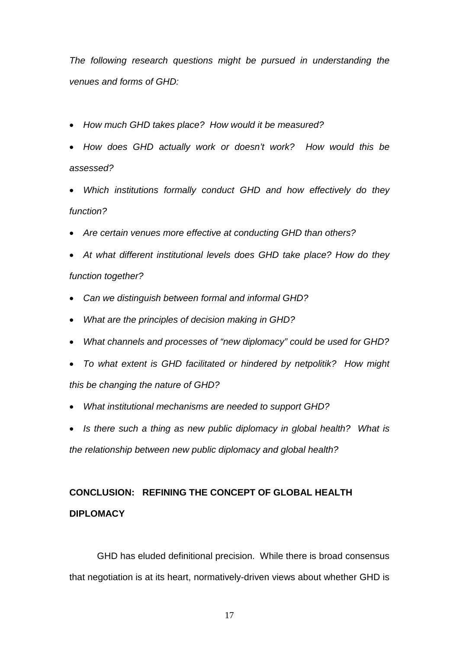*The following research questions might be pursued in understanding the venues and forms of GHD:*

- *How much GHD takes place? How would it be measured?*
- *How does GHD actually work or doesn't work? How would this be assessed?*
- *Which institutions formally conduct GHD and how effectively do they function?*
- *Are certain venues more effective at conducting GHD than others?*
- *At what different institutional levels does GHD take place? How do they function together?*
- *Can we distinguish between formal and informal GHD?*
- *What are the principles of decision making in GHD?*
- *What channels and processes of "new diplomacy" could be used for GHD?*
- *To what extent is GHD facilitated or hindered by netpolitik? How might this be changing the nature of GHD?*
- *What institutional mechanisms are needed to support GHD?*
- *Is there such a thing as new public diplomacy in global health? What is the relationship between new public diplomacy and global health?*

# **CONCLUSION: REFINING THE CONCEPT OF GLOBAL HEALTH DIPLOMACY**

GHD has eluded definitional precision. While there is broad consensus that negotiation is at its heart, normatively-driven views about whether GHD is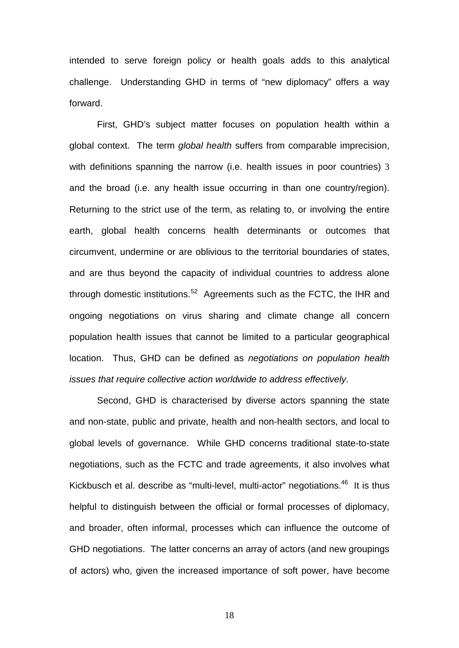intended to serve foreign policy or health goals adds to this analytical challenge. Understanding GHD in terms of "new diplomacy" offers a way forward.

First, GHD's subject matter focuses on population health within a global context. The term *global health* suffers from comparable imprecision, with definitions spanning the narrow (i.e. health issues in poor countries) [3](#page-2-1) and the broad (i.e. any health issue occurring in than one country/region). Returning to the strict use of the term, as relating to, or involving the entire earth, global health concerns health determinants or outcomes that circumvent, undermine or are oblivious to the territorial boundaries of states, and are thus beyond the capacity of individual countries to address alone through domestic institutions.<sup>[52](#page-23-32)</sup> Agreements such as the FCTC, the IHR and ongoing negotiations on virus sharing and climate change all concern population health issues that cannot be limited to a particular geographical location. Thus, GHD can be defined as *negotiations on population health issues that require collective action worldwide to address effectively*.

Second, GHD is characterised by diverse actors spanning the state and non-state, public and private, health and non-health sectors, and local to global levels of governance. While GHD concerns traditional state-to-state negotiations, such as the FCTC and trade agreements, it also involves what Kickbusch et al. describe as "multi-level, multi-actor" negotiations.<sup>46</sup> It is thus helpful to distinguish between the official or formal processes of diplomacy, and broader, often informal, processes which can influence the outcome of GHD negotiations. The latter concerns an array of actors (and new groupings of actors) who, given the increased importance of soft power, have become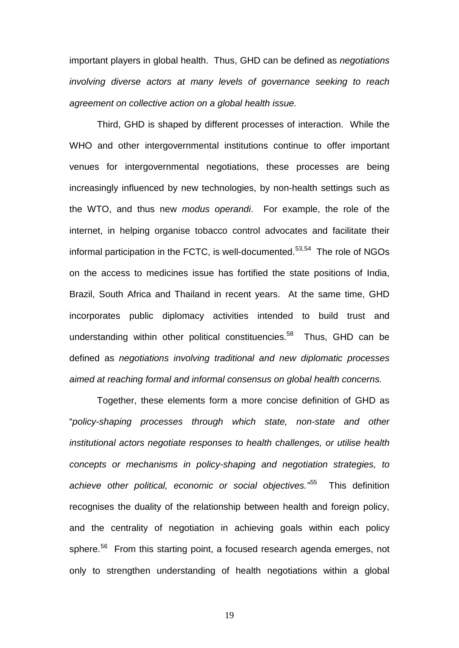important players in global health. Thus, GHD can be defined as *negotiations involving diverse actors at many levels of governance seeking to reach agreement on collective action on a global health issue.*

Third, GHD is shaped by different processes of interaction. While the WHO and other intergovernmental institutions continue to offer important venues for intergovernmental negotiations, these processes are being increasingly influenced by new technologies, by non-health settings such as the WTO, and thus new *modus operandi*. For example, the role of the internet, in helping organise tobacco control advocates and facilitate their informal participation in the FCTC, is well-documented. $53,54$  $53,54$  The role of NGOs on the access to medicines issue has fortified the state positions of India, Brazil, South Africa and Thailand in recent years. At the same time, GHD incorporates public diplomacy activities intended to build trust and understanding within other political constituencies.<sup>58</sup> Thus, GHD can be defined as *negotiations involving traditional and new diplomatic processes aimed at reaching formal and informal consensus on global health concerns.*

Together, these elements form a more concise definition of GHD as "*policy-shaping processes through which state, non-state and other institutional actors negotiate responses to health challenges, or utilise health concepts or mechanisms in policy-shaping and negotiation strategies, to achieve other political, economic or social objectives."* [55](#page-23-3) This definition recognises the duality of the relationship between health and foreign policy, and the centrality of negotiation in achieving goals within each policy sphere.<sup>[56](#page-23-34)</sup> From this starting point, a focused research agenda emerges, not only to strengthen understanding of health negotiations within a global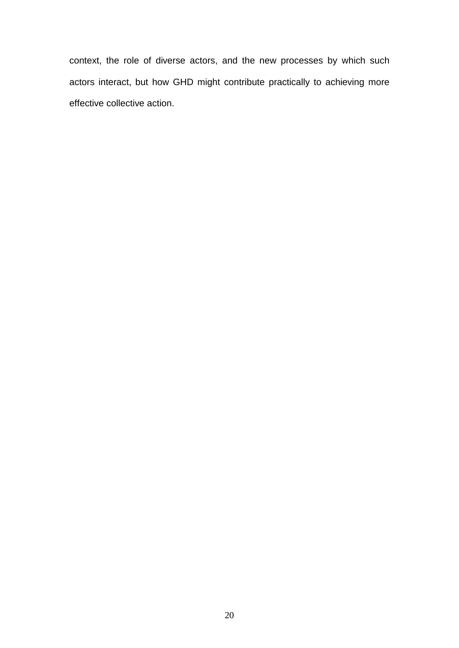context, the role of diverse actors, and the new processes by which such actors interact, but how GHD might contribute practically to achieving more effective collective action.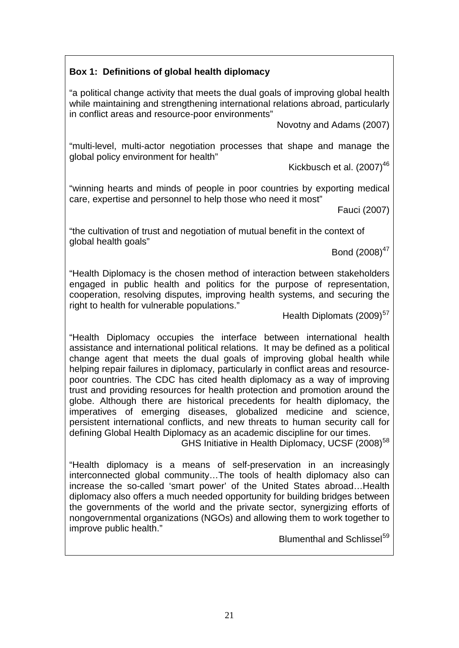# **Box 1: Definitions of global health diplomacy**

"a political change activity that meets the dual goals of improving global health while maintaining and strengthening international relations abroad, particularly in conflict areas and resource-poor environments"

Novotny and Adams (2007)

"multi-level, multi-actor negotiation processes that shape and manage the global policy environment for health"

Kickbusch et al. (2007)<sup>46</sup>

"winning hearts and minds of people in poor countries by exporting medical care, expertise and personnel to help those who need it most"

Fauci (2007)

"the cultivation of trust and negotiation of mutual benefit in the context of global health goals"

Bond  $(2008)^{47}$ 

"Health Diplomacy is the chosen method of interaction between stakeholders engaged in public health and politics for the purpose of representation, cooperation, resolving disputes, improving health systems, and securing the right to health for vulnerable populations."

Health Diplomats (2009)<sup>[57](#page-23-35)</sup>

"Health Diplomacy occupies the interface between international health assistance and international political relations. It may be defined as a political change agent that meets the dual goals of improving global health while helping repair failures in diplomacy, particularly in conflict areas and resourcepoor countries. The CDC has cited health diplomacy as a way of improving trust and providing resources for health protection and promotion around the globe. Although there are historical precedents for health diplomacy, the imperatives of emerging diseases, globalized medicine and science, persistent international conflicts, and new threats to human security call for defining Global Health Diplomacy as an academic discipline for our times.

GHS Initiative in Health Diplomacy, UCSF (2008)<sup>[58](#page-23-6)</sup>

"Health diplomacy is a means of self-preservation in an increasingly interconnected global community…The tools of health diplomacy also can increase the so-called 'smart power' of the United States abroad…Health diplomacy also offers a much needed opportunity for building bridges between the governments of the world and the private sector, synergizing efforts of nongovernmental organizations (NGOs) and allowing them to work together to improve public health."

<span id="page-20-0"></span>Blumenthal and Schlissel<sup>[59](#page-23-36)</sup>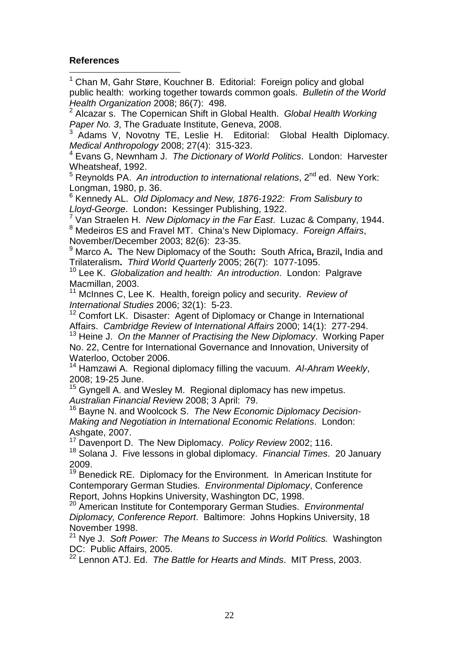# **References**

<span id="page-21-0"></span> <sup>1</sup> Chan M, Gahr Støre, Kouchner B. Editorial: Foreign policy and global public health: working together towards common goals. *Bulletin of the World Health Organization* 2008; 86(7): 498.

<span id="page-21-1"></span><sup>2</sup> Alcazar s. The Copernican Shift in Global Health. *Global Health Working Paper No. 3*, The Graduate Institute, Geneva, 2008.

<span id="page-21-2"></span><sup>3</sup> Adams V, Novotny TE, Leslie H. Editorial: Global Health Diplomacy. *Medical Anthropology* 2008; 27(4): 315-323.

<span id="page-21-3"></span><sup>4</sup> Evans G, Newnham J. *The Dictionary of World Politics*. London: Harvester Wheatsheaf, 1992.

<sup>5</sup> Reynolds PA. An introduction to international relations, 2<sup>nd</sup> ed. New York: Longman, 1980, p. 36.

<sup>6</sup> Kennedy AL. *Old Diplomacy and New, 1876-1922: From Salisbury to Lloyd-George*. London**:** Kessinger Publishing, 1922.

<sup>7</sup> Van Straelen H. *New Diplomacy in the Far East*. Luzac & Company, 1944. <sup>8</sup> Medeiros ES and Fravel MT. China's New Diplomacy. *Foreign Affairs*,

<sup>9</sup> Marco A. The New Diplomacy of the South: South Africa, Brazil, India and Trilateralism**.** *Third World Quarterly* 2005; 26(7): 1077-1095.

<sup>10</sup> Lee K. *Globalization and health: An introduction*. London: Palgrave Macmillan, 2003.

<sup>11</sup> McInnes C, Lee K. Health, foreign policy and security. *Review of International Studies* 2006; 32(1): 5-23.

<sup>12</sup> Comfort LK. Disaster: Agent of Diplomacy or Change in International Affairs. *Cambridge Review of International Affairs* 2000; 14(1): 277-294.

<sup>13</sup> Heine J. *On the Manner of Practising the New Diplomacy*. Working Paper No. 22, Centre for International Governance and Innovation, University of Waterloo, October 2006.

<sup>14</sup> Hamzawi A. Regional diplomacy filling the vacuum. *Al-Ahram Weekly*, 2008; 19-25 June.

<sup>15</sup> Gyngell A. and Wesley M. Regional diplomacy has new impetus. *Australian Financial Revie*w 2008; 3 April: 79.

<sup>16</sup> Bayne N. and Woolcock S. *The New Economic Diplomacy Decision-Making and Negotiation in International Economic Relations*. London: Ashgate, 2007.

<sup>17</sup> Davenport D. The New Diplomacy. *Policy Review* 2002; 116.

<sup>18</sup> Solana J. Five lessons in global diplomacy. *Financial Times*. 20 January 2009.

<sup>19</sup> Benedick RE. Diplomacy for the Environment. In American Institute for Contemporary German Studies. *Environmental Diplomacy*, Conference

Report, Johns Hopkins University, Washington Diudies. *Environmental* 20 American Institute for Contemporary German Studies. *Environmental Diplomacy, Conference Report*. Baltimore: Johns Hopkins University, 18 November 1998.

<sup>21</sup> Nye J. *Soft Power: The Means to Success in World Politics.* Washington DC: Public Affairs, 2005.

<sup>22</sup> Lennon ATJ. Ed. *The Battle for Hearts and Minds*. MIT Press, 2003.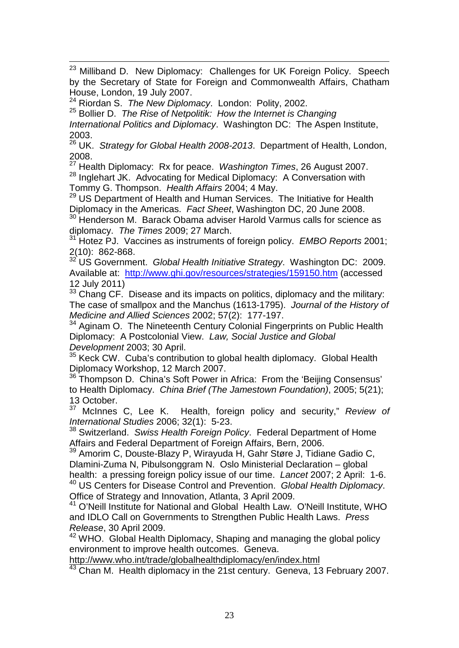<sup>23</sup> Milliband D. New Diplomacy: Challenges for UK Foreign Policy. Speech by the Secretary of State for Foreign and Commonwealth Affairs, Chatham House, London, 19 July 2007.

<sup>24</sup> Riordan S. *The New Diplomacy*. London: Polity, 2002.

<sup>25</sup> Bollier D. *The Rise of Netpolitik: How the Internet is Changing International Politics and Diplomacy*. Washington DC: The Aspen Institute, 2003.

<sup>26</sup> UK. *Strategy for Global Health 2008-2013*. Department of Health, London, 2008.

<span id="page-22-0"></span><sup>27</sup> Health Diplomacy: Rx for peace. *Washington Times*, 26 August 2007. <sup>28</sup> Inglehart JK. Advocating for Medical Diplomacy: A Conversation with Tommy G. Thompson. *Health Affairs* 2004; 4 May.

<span id="page-22-1"></span><sup>29</sup> US Department of Health and Human Services. The Initiative for Health Diplomacy in the Americas. *Fact Sheet*, Washington DC, 20 June 2008.

<span id="page-22-2"></span><sup>30</sup> Henderson M. Barack Obama adviser Harold Varmus calls for science as diplomacy. *The Times* 2009; 27 March.

<span id="page-22-3"></span><sup>31</sup> Hotez PJ. Vaccines as instruments of foreign policy. *EMBO Reports* 2001; 2(10): 862-868.

<span id="page-22-5"></span><span id="page-22-4"></span><sup>32</sup> US Government. *Global Health Initiative Strategy*. Washington DC: 2009. Available at: <http://www.ghi.gov/resources/strategies/159150.htm> (accessed 12 July 2011)

 $33$  Chang CF. Disease and its impacts on politics, diplomacy and the military: The case of smallpox and the Manchus (1613-1795). *Journal of the History of Medicine and Allied Sciences* 2002; 57(2): 177-197.

<sup>34</sup> Aginam O. The Nineteenth Century Colonial Fingerprints on Public Health Diplomacy: A Postcolonial View. *Law, Social Justice and Global Development* 2003; 30 April.

 $35$  Keck CW. Cuba's contribution to global health diplomacy. Global Health Diplomacy Workshop, 12 March 2007.

<sup>36</sup> Thompson D. China's Soft Power in Africa: From the 'Beijing Consensus' to Health Diplomacy. *China Brief (The Jamestown Foundation)*, 2005; 5(21); 13 October.<br><sup>37</sup> Melnnes

<sup>37</sup> McInnes C, Lee K. Health, foreign policy and security," *Review of* 

<sup>38</sup> Switzerland. Swiss Health Foreign Policy. Federal Department of Home Affairs and Federal Department of Foreign Affairs, Bern, 2006.

<sup>39</sup> Amorim C, Douste-Blazy P, Wirayuda H, Gahr Støre J, Tidiane Gadio C, Dlamini-Zuma N, Pibulsonggram N. Oslo Ministerial Declaration – global health: a pressing foreign policy issue of our time. *Lancet* 2007; 2 April: 1-6. <sup>40</sup> US Centers for Disease Control and Prevention. *Global Health Diplomacy*.

Office of Strategy and Innovation, Atlanta, 3 April 2009.

<sup>41</sup> O'Neill Institute for National and Global Health Law. O'Neill Institute, WHO and IDLO Call on Governments to Strengthen Public Health Laws. *Press Release*, 30 April 2009.

<sup>42</sup> WHO. Global Health Diplomacy, Shaping and managing the global policy environment to improve health outcomes. Geneva.

<http://www.who.int/trade/globalhealthdiplomacy/en/index.html>

<sup>43</sup> Chan M. Health diplomacy in the 21st century. Geneva, 13 February 2007.